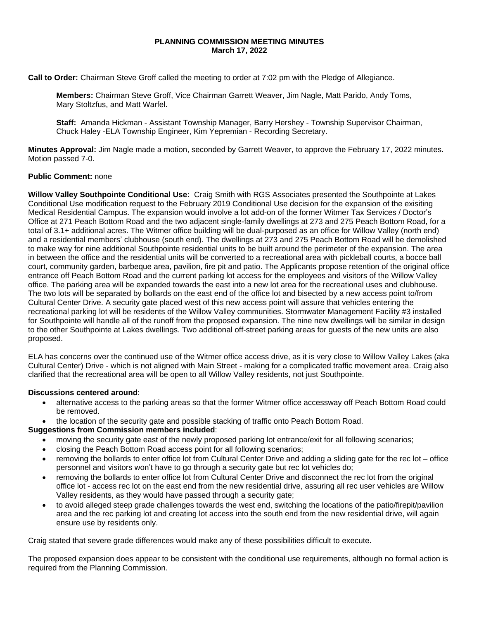## **PLANNING COMMISSION MEETING MINUTES March 17, 2022**

**Call to Order:** Chairman Steve Groff called the meeting to order at 7:02 pm with the Pledge of Allegiance.

**Members:** Chairman Steve Groff, Vice Chairman Garrett Weaver, Jim Nagle, Matt Parido, Andy Toms, Mary Stoltzfus, and Matt Warfel.

**Staff:** Amanda Hickman - Assistant Township Manager, Barry Hershey - Township Supervisor Chairman, Chuck Haley -ELA Township Engineer, Kim Yepremian - Recording Secretary.

**Minutes Approval:** Jim Nagle made a motion, seconded by Garrett Weaver, to approve the February 17, 2022 minutes. Motion passed 7-0.

## **Public Comment:** none

**Willow Valley Southpointe Conditional Use:** Craig Smith with RGS Associates presented the Southpointe at Lakes Conditional Use modification request to the February 2019 Conditional Use decision for the expansion of the exisiting Medical Residential Campus. The expansion would involve a lot add-on of the former Witmer Tax Services / Doctor's Office at 271 Peach Bottom Road and the two adjacent single-family dwellings at 273 and 275 Peach Bottom Road, for a total of 3.1+ additional acres. The Witmer office building will be dual-purposed as an office for Willow Valley (north end) and a residential members' clubhouse (south end). The dwellings at 273 and 275 Peach Bottom Road will be demolished to make way for nine additional Southpointe residential units to be built around the perimeter of the expansion. The area in between the office and the residential units will be converted to a recreational area with pickleball courts, a bocce ball court, community garden, barbeque area, pavilion, fire pit and patio. The Applicants propose retention of the original office entrance off Peach Bottom Road and the current parking lot access for the employees and visitors of the Willow Valley office. The parking area will be expanded towards the east into a new lot area for the recreational uses and clubhouse. The two lots will be separated by bollards on the east end of the office lot and bisected by a new access point to/from Cultural Center Drive. A security gate placed west of this new access point will assure that vehicles entering the recreational parking lot will be residents of the Willow Valley communities. Stormwater Management Facility #3 installed for Southpointe will handle all of the runoff from the proposed expansion. The nine new dwellings will be similar in design to the other Southpointe at Lakes dwellings. Two additional off-street parking areas for guests of the new units are also proposed.

ELA has concerns over the continued use of the Witmer office access drive, as it is very close to Willow Valley Lakes (aka Cultural Center) Drive - which is not aligned with Main Street - making for a complicated traffic movement area. Craig also clarified that the recreational area will be open to all Willow Valley residents, not just Southpointe.

### **Discussions centered around**:

- alternative access to the parking areas so that the former Witmer office accessway off Peach Bottom Road could be removed.
- the location of the security gate and possible stacking of traffic onto Peach Bottom Road.

# **Suggestions from Commission members included**:

- moving the security gate east of the newly proposed parking lot entrance/exit for all following scenarios;
- closing the Peach Bottom Road access point for all following scenarios;
- removing the bollards to enter office lot from Cultural Center Drive and adding a sliding gate for the rec lot office personnel and visitors won't have to go through a security gate but rec lot vehicles do;
- removing the bollards to enter office lot from Cultural Center Drive and disconnect the rec lot from the original office lot - access rec lot on the east end from the new residential drive, assuring all rec user vehicles are Willow Valley residents, as they would have passed through a security gate;
- to avoid alleged steep grade challenges towards the west end, switching the locations of the patio/firepit/pavilion area and the rec parking lot and creating lot access into the south end from the new residential drive, will again ensure use by residents only.

Craig stated that severe grade differences would make any of these possibilities difficult to execute.

The proposed expansion does appear to be consistent with the conditional use requirements, although no formal action is required from the Planning Commission.